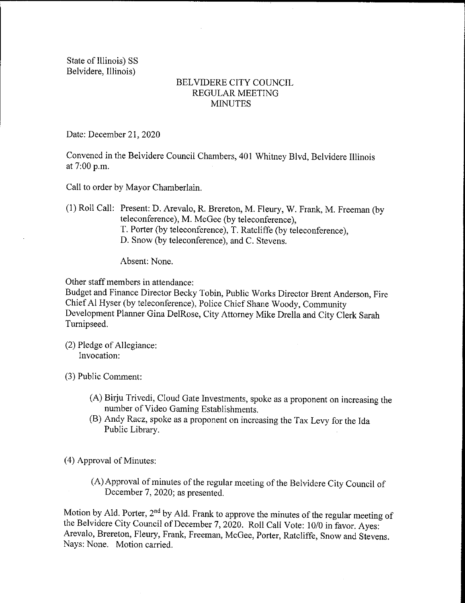State of Illinois) SS Belvidere, Illinois)

## BELVIDERE CITY COUNCIL REGULAR MEETING **MINUTES**

Date: December 21, 2020

Convened in the Belvidere Council Chambers, 401 Whitney Blvd, Belvidere Illinois at 7:00 p.m.

Call to order by Mayor Chamberlain.

1) Roll Call: Present: D. Arevalo, R. Brereton, M. Fleury, W. Frank, M. Freeman ( by teleconference), M. McGee (by teleconference), T. Porter (by teleconference), T. Ratcliffe (by teleconference), D. Snow( by teleconference), and C. Stevens.

Absent: None.

Other staff members in attendance:

Budget and Finance Director Becky Tobin, Public Works Director Brent Anderson, Fire Chief Al Hyser (by teleconference), Police Chief Shane Woody, Community Development Planner Gina DelRose, City Attorney Mike Drella and City Clerk Sarah Turnipseed.

(2) Pledge of Allegiance: Invocation:

3) Public Comment:

- A) Birju Trivedi, Cloud Gate Investments, spoke as <sup>a</sup> proponent on increasing the number of Video Gaming Establishments.
- B) Andy Racz, spoke as a proponent on increasing the Tax Levy for the Ida Public Library.

4) Approval of Minutes:

A) Approval of minutes of the regular meeting of the Belvidere City Council of December 7, 2020; as presented.

Motion by Ald. Porter,  $2<sup>nd</sup>$  by Ald. Frank to approve the minutes of the regular meeting of the Belvidere City Council of December 7, 2020. Roll Call Vote: 10/0 in favor. Ayes: Arevalo, Brereton, Fleury, Frank, Freeman, McGee, Porter, Ratcliffe, Snow and Stevens. Nays: None. Motion carried.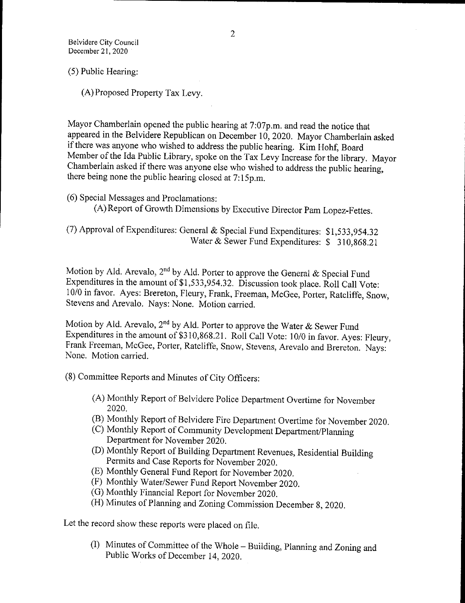5) Public Hearing:

A) Proposed Property Tax Levy.

Mayor Chamberlain opened the public hearing at 7:07p.m. and read the notice that appeared in the Belvidere Republican on December 10, 2020. Mayor Chamberlain asked if there was anyone who wished to address the public hearing. Kim Hohf, Board Member of the Ida Public Library, spoke on the Tax Levy Increase for the library. Mayor Chamberlain asked if there was anyone else who wished to address the public hearing, there being none the public hearing closed at 7:15p.m.

6) Special Messages and Proclamations:

A) Report of Growth Dimensions by Executive Director Pam Lopez-Fettes.

7) Approval of Expenditures: General & Special Fund Expenditures: \$ 1, 533, 954.32 Water & Sewer Fund Expenditures: \$ 310,868.21

Motion by Ald. Arevalo, 2<sup>nd</sup> by Ald. Porter to approve the General & Special Fund Expenditures in the amount of \$1,533,954.32. Discussion took place. Roll Call Vote: 10/0 in favor. Ayes: Brereton, Fleury, Frank, Freeman, McGee, Porter, Ratcliffe, Snow, Stevens and Arevalo. Nays: None. Motion carried.

Motion by Ald. Arevalo, 2<sup>nd</sup> by Ald. Porter to approve the Water  $\&$  Sewer Fund Expenditures in the amount of  $$310,868.21$ . Roll Call Vote: 10/0 in favor. Ayes: Fleury, Frank Freeman, McGee, Porter, Ratcliffe, Snow, Stevens, Arevalo and Brereton. Nays: None. Motion carried.

8) Committee Reports and Minutes of City Officers:

- A) Monthly Report of Belvidere Police Department Overtime for November 2020.
- B) Monthly Report of Belvidere Fire Department Overtime for November 2020.
- C) Monthly Report of Community Development Department/ Planning Department for November 2020.
- D) Monthly Report of Building Department Revenues, Residential Building Permits and Case Reports for November 2020.
- E) Monthly General Fund Report for November 2020.
- F) Monthly Water/ Sewer Fund Report November 2020.
- G) Monthly Financial Report for November 2020.
- (H) Minutes of Planning and Zoning Commission December 8, 2020.

Let the record show these reports were placed on file.

I) Minutes of Committee of the Whole— Building, Planning and Zoning and Public Works of December 14, 2020.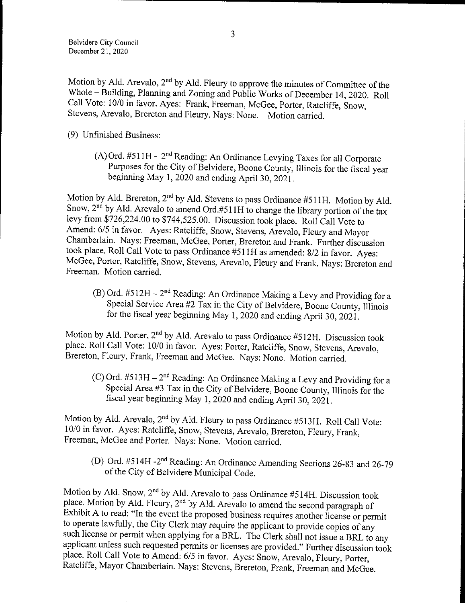Motion by Ald. Arevalo,  $2<sup>nd</sup>$  by Ald. Fleury to approve the minutes of Committee of the Whole— Building, Planning and Zoning and Public Works of December 14, 2020. Roll Call Vote: 10/0 in favor. Ayes: Frank, Freeman, McGee, Porter, Ratcliffe, Snow, Stevens, Arevalo, Brereton and Fleury. Nays: None. Motion carried.

9) Unfinished Business:

(A) Ord.  $#511H - 2^{nd}$  Reading: An Ordinance Levying Taxes for all Corporate Purposes for the City of Belvidere, Boone County, Illinois for the fiscal year beginning May 1, 2020 and ending April 30, 2021.

Motion by Ald. Brefelon, 2" by Ald. Stevens to pass Ordinance  $#$ 511H. Motion by Ald. Snow,  $2^{\infty}$  by Aid. Arevalo to amend Ord.#511H to change the library portion of the tax levy from \$726, 224.00 to \$744, 525.00. Discussion took place. Roll Call Vote to Amend: 6/5 in favor. Ayes: Ratcliffe, Snow, Stevens, Arevalo, Fleury and Mayor Chamberlain. Nays: Freeman, McGee, Porter, Brereton and Frank. Further discussion took place. Roll Call Vote to pass Ordinance #511H as amended: 8/2 in favor. Ayes: McGee, Porter, Ratcliffe, Snow, Stevens, Arevalo, Fleury and Frank. Nays: Brereton and Freeman. Motion carried.

(B) Ord.  $#512H - 2^{nd}$  Reading: An Ordinance Making a Levy and Providing for a Special Service Area #2 Tax in the City of Belvidere, Boone County, Illinois for the fiscal year beginning May 1, 2020 and ending April 30, 2021.

Motion by Ald. Porter,  $2<sup>nd</sup>$  by Ald. Arevalo to pass Ordinance #512H. Discussion took place. Roll Call Vote: 10/0 in favor. Ayes: Porter, Ratcliffe, Snow, Stevens, Arevalo, Brereton, Fleury, Frank, Freeman and McGee. Nays: None. Motion carried.

(C) Ord.  $#513H - 2^{nd}$  Reading: An Ordinance Making a Levy and Providing for a Special Area 43 Tax in the City of Belvidere, Boone County, Illinois for the fiscal year beginning May 1, 2020 and ending April 30, 2021.

Motion by Ald. Arevalo, 2<sup>nd</sup> by Ald. Fleury to pass Ordinance #513H. Roll Call Vote: 10/0 in favor. Ayes: Ratcliffe, Snow, Stevens, Arevalo, Brereton, Fleury, Frank, Freeman, McGee and Porter. Nays: None. Motion carried.

(D) Ord. #514H -2<sup>nd</sup> Reading: An Ordinance Amending Sections 26-83 and 26-79 of the City of Belvidere Municipal Code.

Motion by Ald. Snow,  $2<sup>nd</sup>$  by Ald. Arevalo to pass Ordinance #514H. Discussion took place. Motion by Aid. Fleury, 2"d by Aid. Arevalo to amend the second paragraph of Exhibit A to read: " In the event the proposed business requires another license or permit to operate lawfully, the City Clerk may require the applicant to provide copies of any such license or permit when applying for a BRL. The Clerk shall not issue a BRL to any applicant unless such requested permits or licenses are provided." Further discussion took place. Roll Call Vote to Amend: 6/5 in favor. Ayes: Snow, Arevalo, Fleury, Porter, Ratcliffe, Mayor Chamberlain. Nays: Stevens, Brereton, Frank, Freeman and McGee.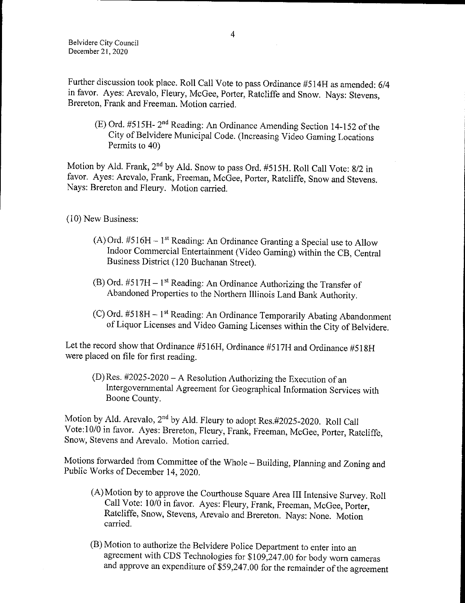Further discussion took place. Roll Call Vote to pass Ordinance #514H as amended: 6/4 in favor. Ayes: Arevalo, Fleury, McGee, Porter, Ratcliffe and Snow. Nays: Stevens, Brereton, Frank and Freeman. Motion carried.

E) Ord. #515H- 2" <sup>d</sup> Reading: An Ordinance Amending Section 14- 152 of the City of Belvidere Municipal Code. ( Increasing Video Gaming Locations Permits to 40)

Motion by Ald. Frank, 2<sup>nd</sup> by Ald. Snow to pass Ord. #515H. Roll Call Vote: 8/2 in favor. Ayes: Arevalo, Frank, Freeman, McGee, Porter, Ratcliffe, Snow and Stevens. Nays: Brereton and Fleury. Motion carried.

10) New Business:

- $(A)$  Ord. #516H 1<sup>st</sup> Reading: An Ordinance Granting a Special use to Allow Indoor Commercial Entertainment ( Video Gaming) within the CB, Central Business District (120 Buchanan Street).
- $(B)$  Ord. #517H 1<sup>st</sup> Reading: An Ordinance Authorizing the Transfer of Abandoned Properties to the Northern Illinois Land Bank Authority.
- $(C)$  Ord. #518H 1<sup>st</sup> Reading: An Ordinance Temporarily Abating Abandonment of Liquor Licenses and Video Gaming Licenses within the City of Belvidere.

Let the record show that Ordinance #516H, Ordinance #517H and Ordinance #518H were placed on file for first reading.

 $(D)$  Res. #2025-2020 – A Resolution Authorizing the Execution of an Intergovernmental Agreement for Geographical Information Services with Boone County.

Motion by Ald. Arevalo, 2<sup>nd</sup> by Ald. Fleury to adopt Res.#2025-2020. Roll Call Vote: 10/0 in favor. Ayes: Brereton, Fleury, Frank, Freeman, McGee, Porter, Ratcliffe, Snow, Stevens and Arevalo. Motion carried.

Motions forwarded from Committee of the Whole— Building, Planning and Zoning and Public Works of December 14, 2020.

- A) Motion by to approve the Courthouse Square Area III Intensive Survey. Roll Call Vote: 10/0 in favor. Ayes: Fleury, Frank, Freeman, McGee, Porter, Ratcliffe, Snow, Stevens, Arevalo and Brereton. Nays: None. Motion carried.
- B) Motion to authorize the Belvidere Police Department to enter into an agreement with CDS Technologies for \$109,247.00 for body worn cameras and approve an expenditure of  $$59,247.00$  for the remainder of the agreement